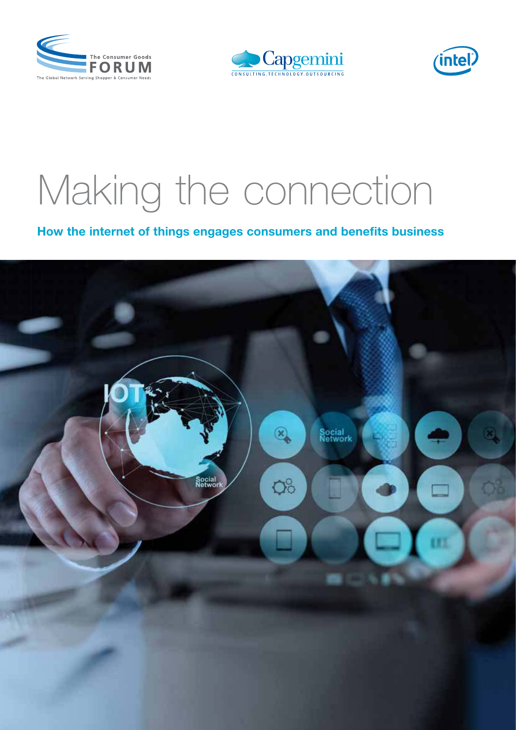





# Making the connection

How the internet of things engages consumers and benefits business

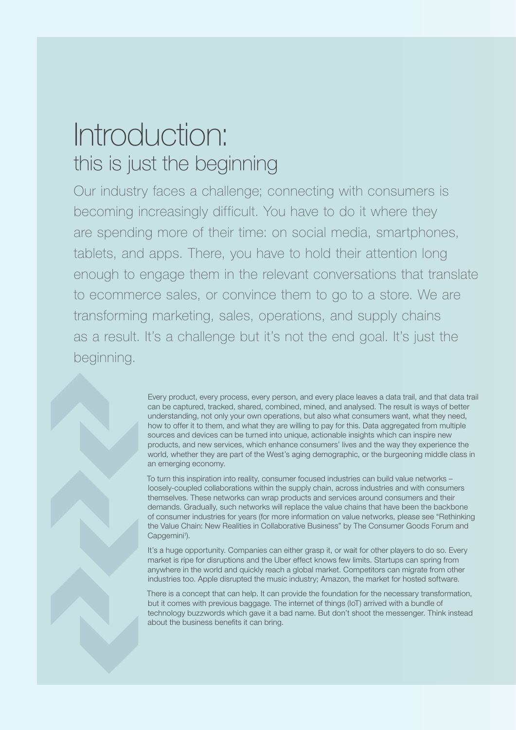### Introduction: this is just the beginning

Our industry faces a challenge; connecting with consumers is becoming increasingly difficult. You have to do it where they are spending more of their time: on social media, smartphones, tablets, and apps. There, you have to hold their attention long enough to engage them in the relevant conversations that translate to ecommerce sales, or convince them to go to a store. We are transforming marketing, sales, operations, and supply chains as a result. It's a challenge but it's not the end goal. It's just the beginning.

> Every product, every process, every person, and every place leaves a data trail, and that data trail can be captured, tracked, shared, combined, mined, and analysed. The result is ways of better understanding, not only your own operations, but also what consumers want, what they need, how to offer it to them, and what they are willing to pay for this. Data aggregated from multiple sources and devices can be turned into unique, actionable insights which can inspire new products, and new services, which enhance consumers' lives and the way they experience the world, whether they are part of the West's aging demographic, or the burgeoning middle class in an emerging economy.

To turn this inspiration into reality, consumer focused industries can build value networks – loosely-coupled collaborations within the supply chain, across industries and with consumers themselves. These networks can wrap products and services around consumers and their demands. Gradually, such networks will replace the value chains that have been the backbone of consumer industries for years (for more information on value networks, please see "Rethinking the Value Chain: New Realities in Collaborative Business" by The Consumer Goods Forum and Capgemini<sup>1</sup>).

It's a huge opportunity. Companies can either grasp it, or wait for other players to do so. Every market is ripe for disruptions and the Uber effect knows few limits. Startups can spring from anywhere in the world and quickly reach a global market. Competitors can migrate from other industries too. Apple disrupted the music industry; Amazon, the market for hosted software.

There is a concept that can help. It can provide the foundation for the necessary transformation, but it comes with previous baggage. The internet of things (IoT) arrived with a bundle of technology buzzwords which gave it a bad name. But don't shoot the messenger. Think instead about the business benefits it can bring.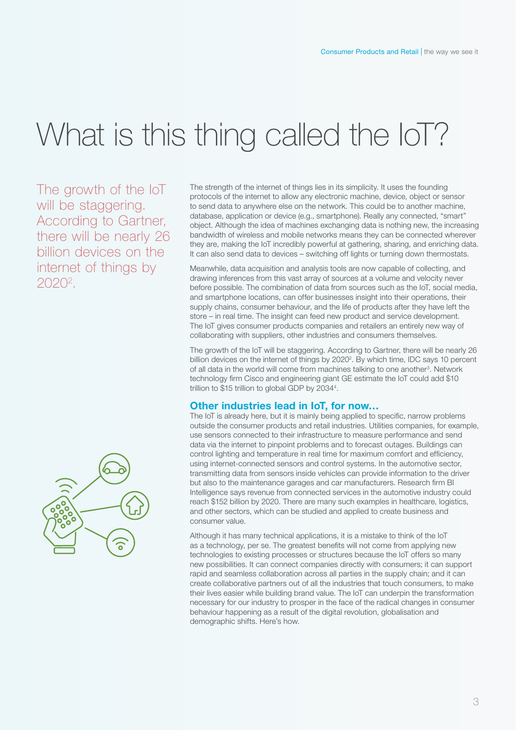## What is this thing called the IoT?

The growth of the IoT will be staggering. According to Gartner, there will be nearly 26 billion devices on the internet of things by 2020<sup>2</sup> .



The strength of the internet of things lies in its simplicity. It uses the founding protocols of the internet to allow any electronic machine, device, object or sensor to send data to anywhere else on the network. This could be to another machine, database, application or device (e.g., smartphone). Really any connected, "smart" object. Although the idea of machines exchanging data is nothing new, the increasing bandwidth of wireless and mobile networks means they can be connected wherever they are, making the IoT incredibly powerful at gathering, sharing, and enriching data. It can also send data to devices – switching off lights or turning down thermostats.

Meanwhile, data acquisition and analysis tools are now capable of collecting, and drawing inferences from this vast array of sources at a volume and velocity never before possible. The combination of data from sources such as the IoT, social media, and smartphone locations, can offer businesses insight into their operations, their supply chains, consumer behaviour, and the life of products after they have left the store – in real time. The insight can feed new product and service development. The IoT gives consumer products companies and retailers an entirely new way of collaborating with suppliers, other industries and consumers themselves.

The growth of the IoT will be staggering. According to Gartner, there will be nearly 26 billion devices on the internet of things by 2020<sup>2</sup>. By which time, IDC says 10 percent of all data in the world will come from machines talking to one another<sup>3</sup>. Network technology firm Cisco and engineering giant GE estimate the IoT could add \$10 trillion to \$15 trillion to global GDP by 2034<sup>4</sup>.

#### Other industries lead in IoT, for now…

The IoT is already here, but it is mainly being applied to specific, narrow problems outside the consumer products and retail industries. Utilities companies, for example, use sensors connected to their infrastructure to measure performance and send data via the internet to pinpoint problems and to forecast outages. Buildings can control lighting and temperature in real time for maximum comfort and efficiency, using internet-connected sensors and control systems. In the automotive sector, transmitting data from sensors inside vehicles can provide information to the driver but also to the maintenance garages and car manufacturers. Research firm BI Intelligence says revenue from connected services in the automotive industry could reach \$152 billion by 2020. There are many such examples in healthcare, logistics, and other sectors, which can be studied and applied to create business and consumer value.

Although it has many technical applications, it is a mistake to think of the IoT as a technology, per se. The greatest benefits will not come from applying new technologies to existing processes or structures because the IoT offers so many new possibilities. It can connect companies directly with consumers; it can support rapid and seamless collaboration across all parties in the supply chain; and it can create collaborative partners out of all the industries that touch consumers, to make their lives easier while building brand value. The IoT can underpin the transformation necessary for our industry to prosper in the face of the radical changes in consumer behaviour happening as a result of the digital revolution, globalisation and demographic shifts. Here's how.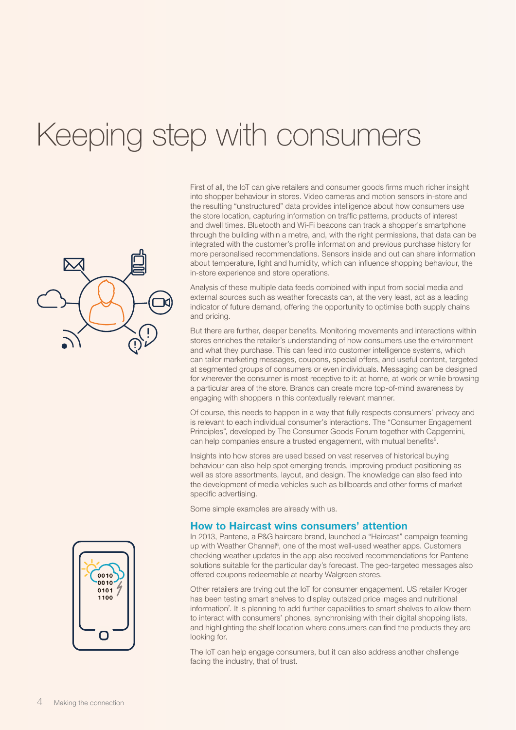### Keeping step with consumers



First of all, the IoT can give retailers and consumer goods firms much richer insight into shopper behaviour in stores. Video cameras and motion sensors in-store and the resulting "unstructured" data provides intelligence about how consumers use the store location, capturing information on traffic patterns, products of interest and dwell times. Bluetooth and Wi-Fi beacons can track a shopper's smartphone through the building within a metre, and, with the right permissions, that data can be integrated with the customer's profile information and previous purchase history for more personalised recommendations. Sensors inside and out can share information about temperature, light and humidity, which can influence shopping behaviour, the in-store experience and store operations.

Analysis of these multiple data feeds combined with input from social media and external sources such as weather forecasts can, at the very least, act as a leading indicator of future demand, offering the opportunity to optimise both supply chains and pricing.

But there are further, deeper benefits. Monitoring movements and interactions within stores enriches the retailer's understanding of how consumers use the environment and what they purchase. This can feed into customer intelligence systems, which can tailor marketing messages, coupons, special offers, and useful content, targeted at segmented groups of consumers or even individuals. Messaging can be designed for wherever the consumer is most receptive to it: at home, at work or while browsing a particular area of the store. Brands can create more top-of-mind awareness by engaging with shoppers in this contextually relevant manner.

Of course, this needs to happen in a way that fully respects consumers' privacy and is relevant to each individual consumer's interactions. The "Consumer Engagement Principles", developed by The Consumer Goods Forum together with Capgemini, can help companies ensure a trusted engagement, with mutual benefits<sup>5</sup>.

Insights into how stores are used based on vast reserves of historical buying behaviour can also help spot emerging trends, improving product positioning as well as store assortments, layout, and design. The knowledge can also feed into the development of media vehicles such as billboards and other forms of market specific advertising.

Some simple examples are already with us.

#### How to Haircast wins consumers' attention

In 2013, Pantene, a P&G haircare brand, launched a "Haircast" campaign teaming up with Weather Channel<sup>6</sup>, one of the most well-used weather apps. Customers checking weather updates in the app also received recommendations for Pantene solutions suitable for the particular day's forecast. The geo-targeted messages also offered coupons redeemable at nearby Walgreen stores.

Other retailers are trying out the IoT for consumer engagement. US retailer Kroger has been testing smart shelves to display outsized price images and nutritional information<sup>7</sup> . It is planning to add further capabilities to smart shelves to allow them to interact with consumers' phones, synchronising with their digital shopping lists, and highlighting the shelf location where consumers can find the products they are looking for.

The IoT can help engage consumers, but it can also address another challenge facing the industry, that of trust.

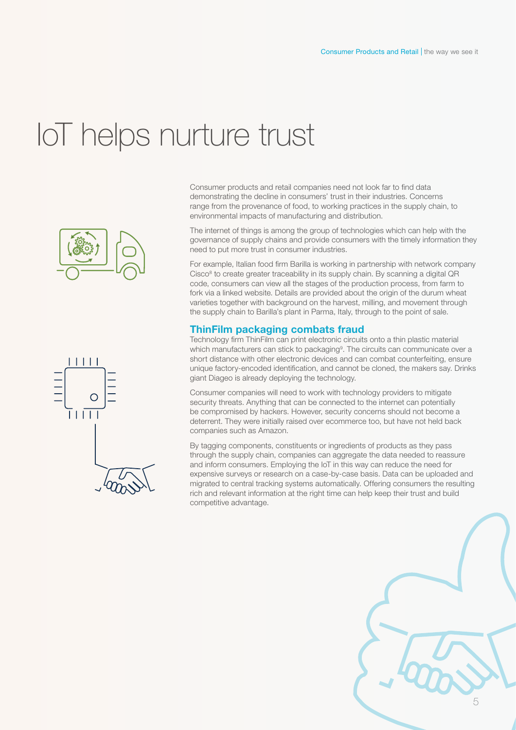### IoT helps nurture trust





Consumer products and retail companies need not look far to find data demonstrating the decline in consumers' trust in their industries. Concerns range from the provenance of food, to working practices in the supply chain, to environmental impacts of manufacturing and distribution.

The internet of things is among the group of technologies which can help with the governance of supply chains and provide consumers with the timely information they need to put more trust in consumer industries.

For example, Italian food firm Barilla is working in partnership with network company Cisco<sup>8</sup> to create greater traceability in its supply chain. By scanning a digital QR code, consumers can view all the stages of the production process, from farm to fork via a linked website. Details are provided about the origin of the durum wheat varieties together with background on the harvest, milling, and movement through the supply chain to Barilla's plant in Parma, Italy, through to the point of sale.

#### ThinFilm packaging combats fraud

Technology firm ThinFilm can print electronic circuits onto a thin plastic material which manufacturers can stick to packaging<sup>9</sup>. The circuits can communicate over a short distance with other electronic devices and can combat counterfeiting, ensure unique factory-encoded identification, and cannot be cloned, the makers say. Drinks giant Diageo is already deploying the technology.

Consumer companies will need to work with technology providers to mitigate security threats. Anything that can be connected to the internet can potentially be compromised by hackers. However, security concerns should not become a deterrent. They were initially raised over ecommerce too, but have not held back companies such as Amazon.

By tagging components, constituents or ingredients of products as they pass through the supply chain, companies can aggregate the data needed to reassure and inform consumers. Employing the IoT in this way can reduce the need for expensive surveys or research on a case-by-case basis. Data can be uploaded and migrated to central tracking systems automatically. Offering consumers the resulting rich and relevant information at the right time can help keep their trust and build competitive advantage.

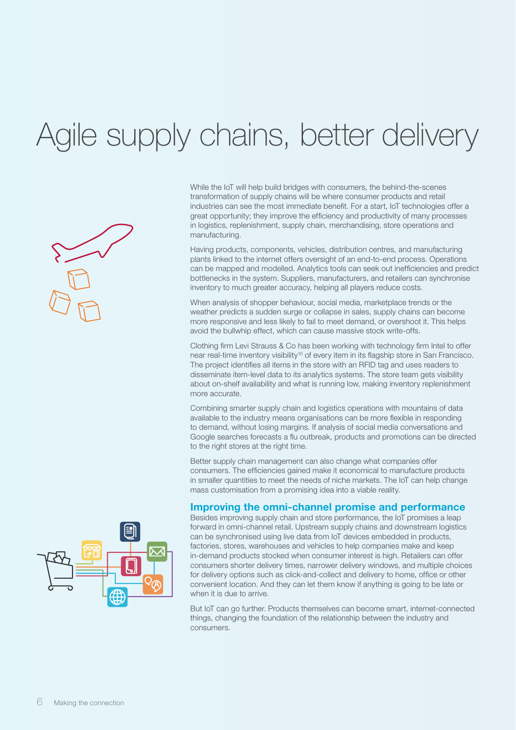## Agile supply chains, better delivery



While the IoT will help build bridges with consumers, the behind-the-scenes transformation of supply chains will be where consumer products and retail industries can see the most immediate benefit. For a start, IoT technologies offer a great opportunity; they improve the efficiency and productivity of many processes in logistics, replenishment, supply chain, merchandising, store operations and manufacturing.

Having products, components, vehicles, distribution centres, and manufacturing plants linked to the internet offers oversight of an end-to-end process. Operations can be mapped and modelled. Analytics tools can seek out inefficiencies and predict bottlenecks in the system. Suppliers, manufacturers, and retailers can synchronise inventory to much greater accuracy, helping all players reduce costs.

When analysis of shopper behaviour, social media, marketplace trends or the weather predicts a sudden surge or collapse in sales, supply chains can become more responsive and less likely to fail to meet demand, or overshoot it. This helps avoid the bullwhip effect, which can cause massive stock write-offs.

Clothing firm Levi Strauss & Co has been working with technology firm Intel to offer near real-time inventory visibility<sup>10</sup> of every item in its flagship store in San Francisco. The project identifies all items in the store with an RFID tag and uses readers to disseminate item-level data to its analytics systems. The store team gets visibility about on-shelf availability and what is running low, making inventory replenishment more accurate.

Combining smarter supply chain and logistics operations with mountains of data available to the industry means organisations can be more flexible in responding to demand, without losing margins. If analysis of social media conversations and Google searches forecasts a flu outbreak, products and promotions can be directed to the right stores at the right time.

Better supply chain management can also change what companies offer consumers. The efficiencies gained make it economical to manufacture products in smaller quantities to meet the needs of niche markets. The IoT can help change mass customisation from a promising idea into a viable reality.

#### Improving the omni-channel promise and performance

Besides improving supply chain and store performance, the IoT promises a leap forward in omni-channel retail. Upstream supply chains and downstream logistics can be synchronised using live data from IoT devices embedded in products, factories, stores, warehouses and vehicles to help companies make and keep in-demand products stocked when consumer interest is high. Retailers can offer consumers shorter delivery times, narrower delivery windows, and multiple choices for delivery options such as click-and-collect and delivery to home, office or other convenient location. And they can let them know if anything is going to be late or when it is due to arrive.

But IoT can go further. Products themselves can become smart, internet-connected things, changing the foundation of the relationship between the industry and consumers.

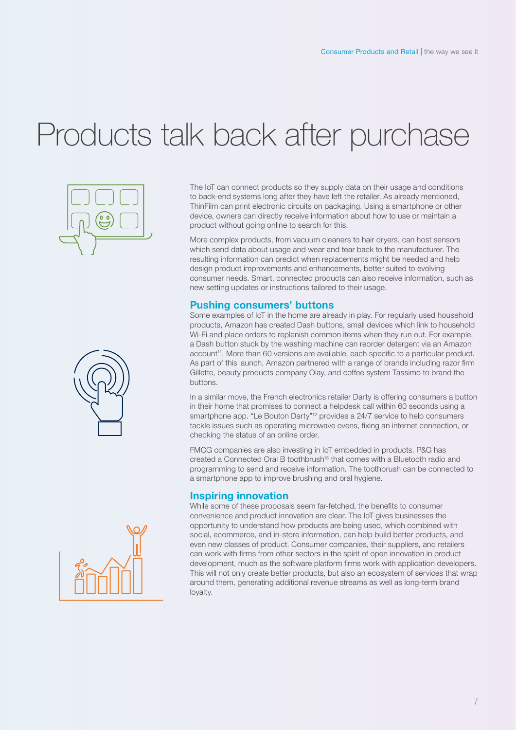## Products talk back after purchase







The IoT can connect products so they supply data on their usage and conditions to back-end systems long after they have left the retailer. As already mentioned, ThinFilm can print electronic circuits on packaging. Using a smartphone or other device, owners can directly receive information about how to use or maintain a product without going online to search for this.

More complex products, from vacuum cleaners to hair dryers, can host sensors which send data about usage and wear and tear back to the manufacturer. The resulting information can predict when replacements might be needed and help design product improvements and enhancements, better suited to evolving consumer needs. Smart, connected products can also receive information, such as new setting updates or instructions tailored to their usage.

#### Pushing consumers' buttons

Some examples of IoT in the home are already in play. For regularly used household products, Amazon has created Dash buttons, small devices which link to household Wi-Fi and place orders to replenish common items when they run out. For example, a Dash button stuck by the washing machine can reorder detergent via an Amazon account<sup>11</sup>. More than 60 versions are available, each specific to a particular product. As part of this launch, Amazon partnered with a range of brands including razor firm Gillette, beauty products company Olay, and coffee system Tassimo to brand the buttons.

In a similar move, the French electronics retailer Darty is offering consumers a button in their home that promises to connect a helpdesk call within 60 seconds using a smartphone app. "Le Bouton Darty"<sup>12</sup> provides a 24/7 service to help consumers tackle issues such as operating microwave ovens, fixing an internet connection, or checking the status of an online order.

FMCG companies are also investing in IoT embedded in products. P&G has created a Connected Oral B toothbrush<sup>13</sup> that comes with a Bluetooth radio and programming to send and receive information. The toothbrush can be connected to a smartphone app to improve brushing and oral hygiene.

#### Inspiring innovation

While some of these proposals seem far-fetched, the benefits to consumer convenience and product innovation are clear. The IoT gives businesses the opportunity to understand how products are being used, which combined with social, ecommerce, and in-store information, can help build better products, and even new classes of product. Consumer companies, their suppliers, and retailers can work with firms from other sectors in the spirit of open innovation in product development, much as the software platform firms work with application developers. This will not only create better products, but also an ecosystem of services that wrap around them, generating additional revenue streams as well as long-term brand loyalty.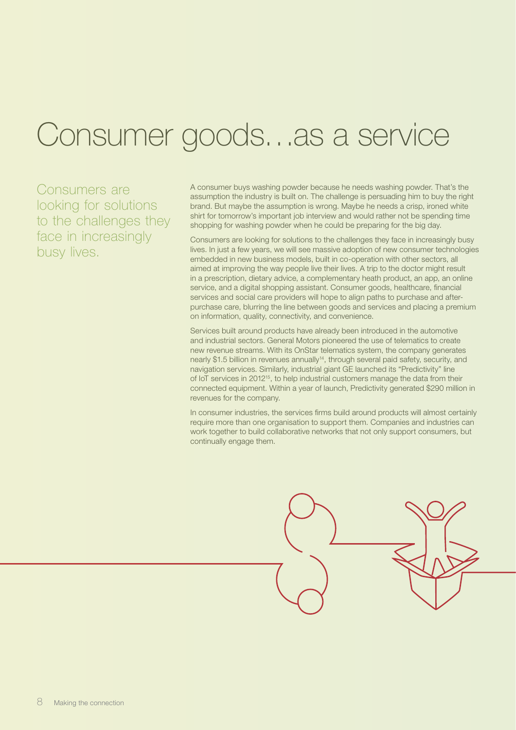### Consumer goods…as a service

Consumers are looking for solutions to the challenges they face in increasingly busy lives.

A consumer buys washing powder because he needs washing powder. That's the assumption the industry is built on. The challenge is persuading him to buy the right brand. But maybe the assumption is wrong. Maybe he needs a crisp, ironed white shirt for tomorrow's important job interview and would rather not be spending time shopping for washing powder when he could be preparing for the big day.

Consumers are looking for solutions to the challenges they face in increasingly busy lives. In just a few years, we will see massive adoption of new consumer technologies embedded in new business models, built in co-operation with other sectors, all aimed at improving the way people live their lives. A trip to the doctor might result in a prescription, dietary advice, a complementary heath product, an app, an online service, and a digital shopping assistant. Consumer goods, healthcare, financial services and social care providers will hope to align paths to purchase and afterpurchase care, blurring the line between goods and services and placing a premium on information, quality, connectivity, and convenience.

Services built around products have already been introduced in the automotive and industrial sectors. General Motors pioneered the use of telematics to create new revenue streams. With its OnStar telematics system, the company generates nearly \$1.5 billion in revenues annually<sup>14</sup>, through several paid safety, security, and navigation services. Similarly, industrial giant GE launched its "Predictivity" line of IoT services in 2012<sup>15</sup>, to help industrial customers manage the data from their connected equipment. Within a year of launch, Predictivity generated \$290 million in revenues for the company.

In consumer industries, the services firms build around products will almost certainly require more than one organisation to support them. Companies and industries can work together to build collaborative networks that not only support consumers, but continually engage them.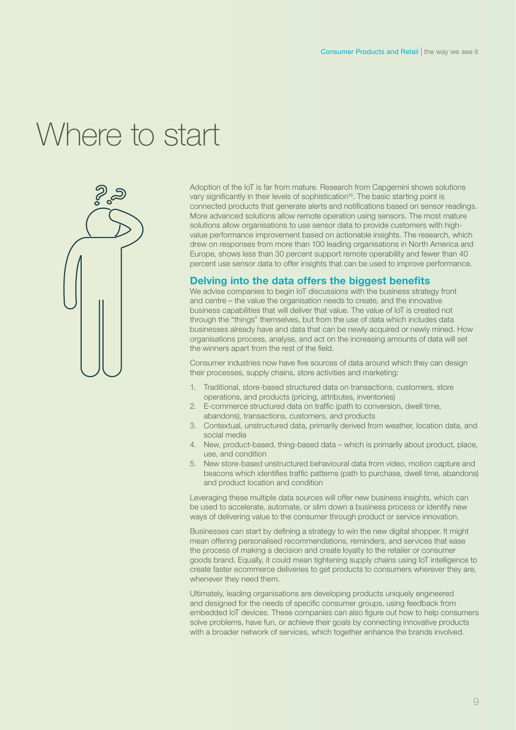## Where to start



Adoption of the IoT is far from mature. Research from Capgemini shows solutions vary significantly in their levels of sophistication<sup>16</sup>. The basic starting point is connected products that generate alerts and notifications based on sensor readings. More advanced solutions allow remote operation using sensors. The most mature solutions allow organisations to use sensor data to provide customers with highvalue performance improvement based on actionable insights. The research, which drew on responses from more than 100 leading organisations in North America and Europe, shows less than 30 percent support remote operability and fewer than 40 percent use sensor data to offer insights that can be used to improve performance.

#### Delving into the data offers the biggest benefits

We advise companies to begin IoT discussions with the business strategy front and centre – the value the organisation needs to create, and the innovative business capabilities that will deliver that value. The value of IoT is created not through the "things" themselves, but from the use of data which includes data businesses already have and data that can be newly acquired or newly mined. How organisations process, analyse, and act on the increasing amounts of data will set the winners apart from the rest of the field.

Consumer industries now have five sources of data around which they can design their processes, supply chains, store activities and marketing:

- 1. Traditional, store-based structured data on transactions, customers, store operations, and products (pricing, attributes, inventories)
- 2. E-commerce structured data on traffic (path to conversion, dwell time, abandons), transactions, customers, and products
- 3. Contextual, unstructured data, primarily derived from weather, location data, and social media
- 4. New, product-based, thing-based data which is primarily about product, place, use, and condition
- 5. New store-based unstructured behavioural data from video, motion capture and beacons which identifies traffic patterns (path to purchase, dwell time, abandons) and product location and condition

Leveraging these multiple data sources will offer new business insights, which can be used to accelerate, automate, or slim down a business process or identify new ways of delivering value to the consumer through product or service innovation.

Businesses can start by defining a strategy to win the new digital shopper. It might mean offering personalised recommendations, reminders, and services that ease the process of making a decision and create loyalty to the retailer or consumer goods brand. Equally, it could mean tightening supply chains using IoT intelligence to create faster ecommerce deliveries to get products to consumers wherever they are, whenever they need them.

Ultimately, leading organisations are developing products uniquely engineered and designed for the needs of specific consumer groups, using feedback from embedded IoT devices. These companies can also figure out how to help consumers solve problems, have fun, or achieve their goals by connecting innovative products with a broader network of services, which together enhance the brands involved.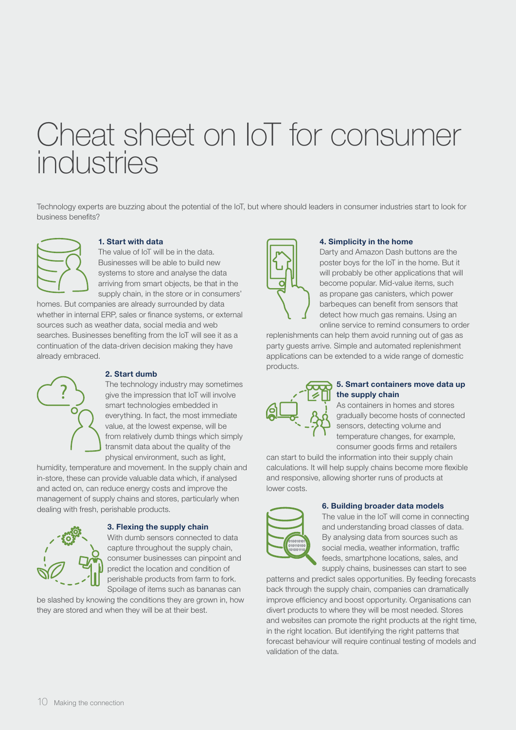### Cheat sheet on IoT for consumer industries

Technology experts are buzzing about the potential of the IoT, but where should leaders in consumer industries start to look for business benefits?



#### 1. Start with data

The value of IoT will be in the data. Businesses will be able to build new systems to store and analyse the data arriving from smart objects, be that in the supply chain, in the store or in consumers'

homes. But companies are already surrounded by data whether in internal ERP, sales or finance systems, or external sources such as weather data, social media and web searches. Businesses benefiting from the IoT will see it as a continuation of the data-driven decision making they have already embraced.



#### 2. Start dumb

The technology industry may sometimes give the impression that IoT will involve smart technologies embedded in everything. In fact, the most immediate value, at the lowest expense, will be from relatively dumb things which simply transmit data about the quality of the physical environment, such as light,

humidity, temperature and movement. In the supply chain and in-store, these can provide valuable data which, if analysed and acted on, can reduce energy costs and improve the management of supply chains and stores, particularly when dealing with fresh, perishable products.



#### 3. Flexing the supply chain

With dumb sensors connected to data capture throughout the supply chain, consumer businesses can pinpoint and predict the location and condition of perishable products from farm to fork. Spoilage of items such as bananas can

be slashed by knowing the conditions they are grown in, how they are stored and when they will be at their best.



#### 4. Simplicity in the home

Darty and Amazon Dash buttons are the poster boys for the IoT in the home. But it will probably be other applications that will become popular. Mid-value items, such as propane gas canisters, which power barbeques can benefit from sensors that detect how much gas remains. Using an online service to remind consumers to order

replenishments can help them avoid running out of gas as party guests arrive. Simple and automated replenishment applications can be extended to a wide range of domestic products.



#### 5. Smart containers move data up the supply chain

As containers in homes and stores gradually become hosts of connected sensors, detecting volume and temperature changes, for example, consumer goods firms and retailers

can start to build the information into their supply chain calculations. It will help supply chains become more flexible and responsive, allowing shorter runs of products at lower costs.



#### 6. Building broader data models

The value in the IoT will come in connecting and understanding broad classes of data. By analysing data from sources such as social media, weather information, traffic feeds, smartphone locations, sales, and supply chains, businesses can start to see

patterns and predict sales opportunities. By feeding forecasts back through the supply chain, companies can dramatically improve efficiency and boost opportunity. Organisations can divert products to where they will be most needed. Stores and websites can promote the right products at the right time, in the right location. But identifying the right patterns that forecast behaviour will require continual testing of models and validation of the data.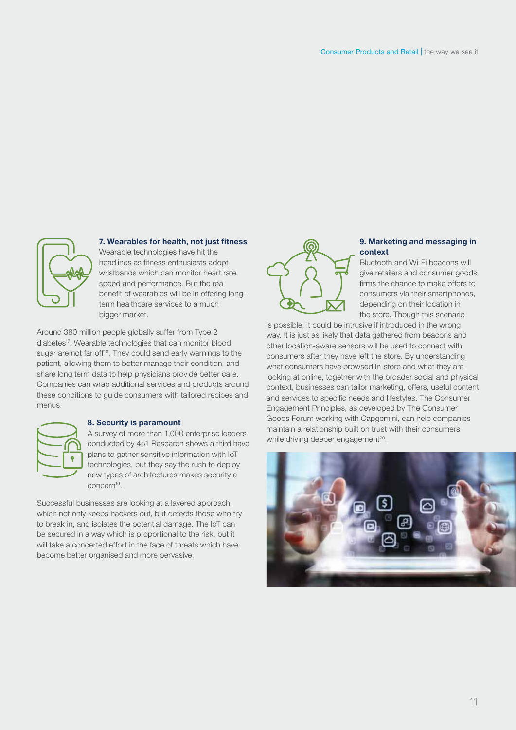

### 7. Wearables for health, not just fitness

Wearable technologies have hit the headlines as fitness enthusiasts adopt wristbands which can monitor heart rate, speed and performance. But the real benefit of wearables will be in offering longterm healthcare services to a much bigger market.

Around 380 million people globally suffer from Type 2 diabetes<sup>17</sup>. Wearable technologies that can monitor blood sugar are not far off<sup>18</sup>. They could send early warnings to the patient, allowing them to better manage their condition, and share long term data to help physicians provide better care. Companies can wrap additional services and products around these conditions to guide consumers with tailored recipes and menus.

#### 8. Security is paramount

A survey of more than 1,000 enterprise leaders conducted by 451 Research shows a third have plans to gather sensitive information with IoT technologies, but they say the rush to deploy new types of architectures makes security a concern<sup>19</sup>.

Successful businesses are looking at a layered approach, which not only keeps hackers out, but detects those who try to break in, and isolates the potential damage. The IoT can be secured in a way which is proportional to the risk, but it will take a concerted effort in the face of threats which have become better organised and more pervasive.



#### 9. Marketing and messaging in context

Bluetooth and Wi-Fi beacons will give retailers and consumer goods firms the chance to make offers to consumers via their smartphones, depending on their location in the store. Though this scenario

is possible, it could be intrusive if introduced in the wrong way. It is just as likely that data gathered from beacons and other location-aware sensors will be used to connect with consumers after they have left the store. By understanding what consumers have browsed in-store and what they are looking at online, together with the broader social and physical context, businesses can tailor marketing, offers, useful content and services to specific needs and lifestyles. The Consumer Engagement Principles, as developed by The Consumer Goods Forum working with Capgemini, can help companies maintain a relationship built on trust with their consumers while driving deeper engagement<sup>20</sup>.

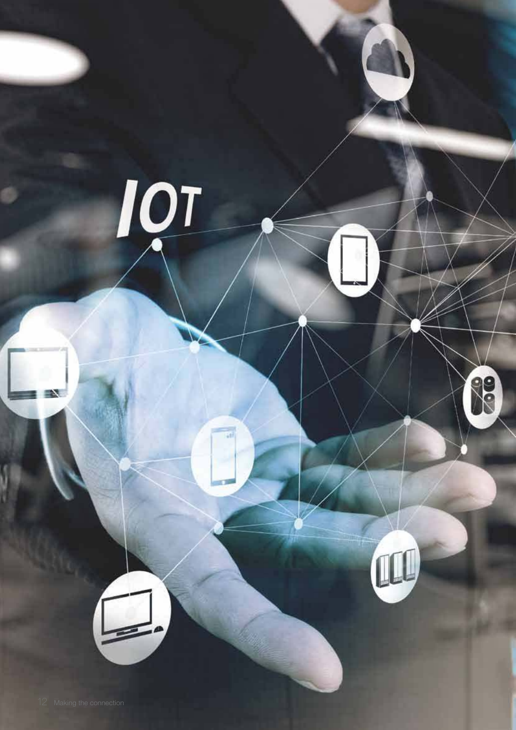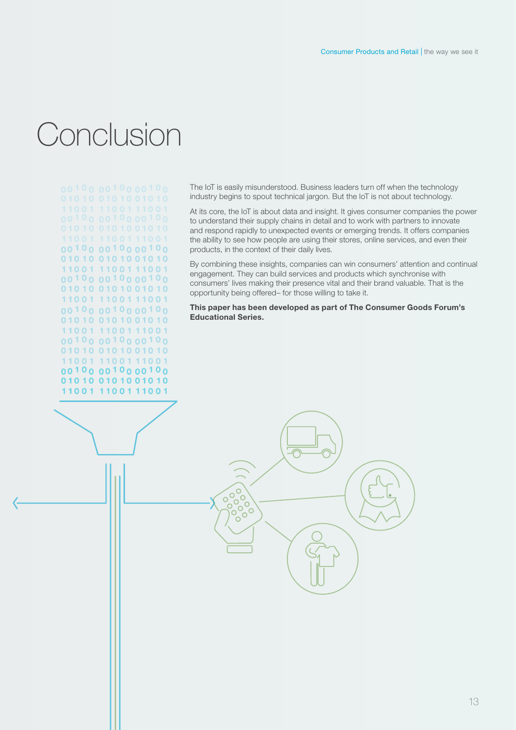### Conclusion

The IoT is easily misunderstood. Business leaders turn off when the technology industry begins to spout technical jargon. But the IoT is not about technology.

At its core, the IoT is about data and insight. It gives consumer companies the power to understand their supply chains in detail and to work with partners to innovate and respond rapidly to unexpected events or emerging trends. It offers companies the ability to see how people are using their stores, online services, and even their products, in the context of their daily lives.

By combining these insights, companies can win consumers' attention and continual engagement. They can build services and products which synchronise with consumers' lives making their presence vital and their brand valuable. That is the opportunity being offered– for those willing to take it.

This paper has been developed as part of The Consumer Goods Forum's Educational Series.

> $\overline{O}$  $\Omega$ ó ó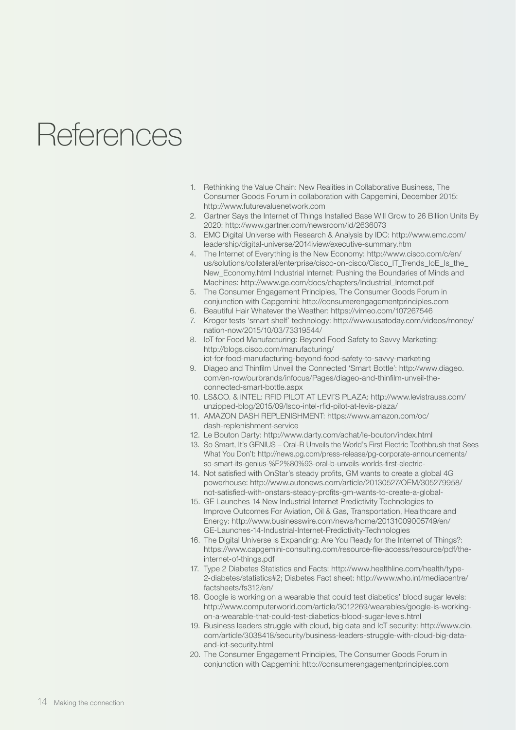### References

- 1. Rethinking the Value Chain: New Realities in Collaborative Business, The Consumer Goods Forum in collaboration with Capgemini, December 2015: http://www.futurevaluenetwork.com
- 2. Gartner Says the Internet of Things Installed Base Will Grow to 26 Billion Units By 2020: http://www.gartner.com/newsroom/id/2636073
- 3. EMC Digital Universe with Research & Analysis by IDC: http://www.emc.com/ leadership/digital-universe/2014iview/executive-summary.htm
- 4. The Internet of Everything is the New Economy: http://www.cisco.com/c/en/ us/solutions/collateral/enterprise/cisco-on-cisco/Cisco\_IT\_Trends\_IoE\_Is\_the\_ New\_Economy.html Industrial Internet: Pushing the Boundaries of Minds and Machines: http://www.ge.com/docs/chapters/Industrial\_Internet.pdf
- 5. The Consumer Engagement Principles, The Consumer Goods Forum in conjunction with Capgemini: http://consumerengagementprinciples.com
- 6. Beautiful Hair Whatever the Weather: https://vimeo.com/107267546
- 7. Kroger tests 'smart shelf' technology: http://www.usatoday.com/videos/money/ nation-now/2015/10/03/73319544/
- 8. IoT for Food Manufacturing: Beyond Food Safety to Savvy Marketing: http://blogs.cisco.com/manufacturing/ iot-for-food-manufacturing-beyond-food-safety-to-savvy-marketing
- 9. Diageo and Thinfilm Unveil the Connected 'Smart Bottle': http://www.diageo. com/en-row/ourbrands/infocus/Pages/diageo-and-thinfilm-unveil-theconnected-smart-bottle.aspx
- 10. LS&CO. & INTEL: RFID PILOT AT LEVI'S PLAZA: http://www.levistrauss.com/ unzipped-blog/2015/09/lsco-intel-rfid-pilot-at-levis-plaza/
- 11. AMAZON DASH REPLENISHMENT: https://www.amazon.com/oc/ dash-replenishment-service
- 12. Le Bouton Darty: http://www.darty.com/achat/le-bouton/index.html
- 13. So Smart, It's GENIUS Oral-B Unveils the World's First Electric Toothbrush that Sees What You Don't: http://news.pg.com/press-release/pg-corporate-announcements/ so-smart-its-genius-%E2%80%93-oral-b-unveils-worlds-first-electric-
- 14. Not satisfied with OnStar's steady profits, GM wants to create a global 4G powerhouse: http://www.autonews.com/article/20130527/OEM/305279958/ not-satisfied-with-onstars-steady-profits-gm-wants-to-create-a-global-
- 15. GE Launches 14 New Industrial Internet Predictivity Technologies to Improve Outcomes For Aviation, Oil & Gas, Transportation, Healthcare and Energy: http://www.businesswire.com/news/home/20131009005749/en/ GE-Launches-14-Industrial-Internet-Predictivity-Technologies
- 16. The Digital Universe is Expanding: Are You Ready for the Internet of Things?: https://www.capgemini-consulting.com/resource-file-access/resource/pdf/theinternet-of-things.pdf
- 17. Type 2 Diabetes Statistics and Facts: http://www.healthline.com/health/type-2-diabetes/statistics#2; Diabetes Fact sheet: http://www.who.int/mediacentre/ factsheets/fs312/en/
- 18. Google is working on a wearable that could test diabetics' blood sugar levels: http://www.computerworld.com/article/3012269/wearables/google-is-workingon-a-wearable-that-could-test-diabetics-blood-sugar-levels.html
- 19. Business leaders struggle with cloud, big data and IoT security: http://www.cio. com/article/3038418/security/business-leaders-struggle-with-cloud-big-dataand-iot-security.html
- 20. The Consumer Engagement Principles, The Consumer Goods Forum in conjunction with Capgemini: http://consumerengagementprinciples.com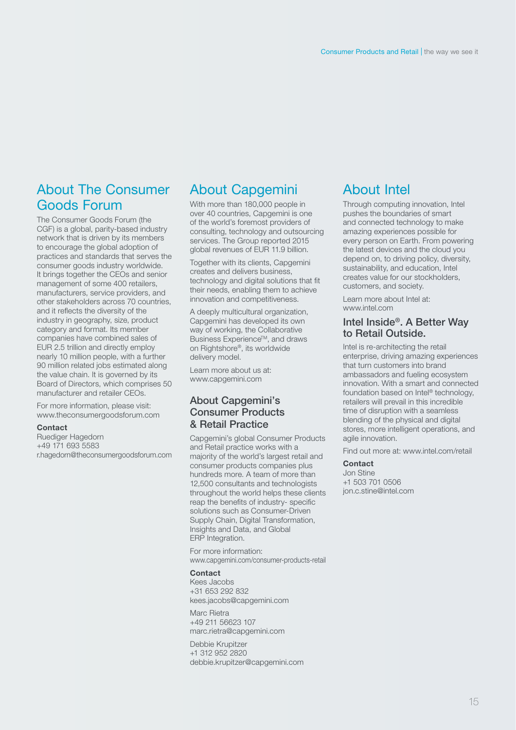### About The Consumer Goods Forum

The Consumer Goods Forum (the CGF) is a global, parity-based industry network that is driven by its members to encourage the global adoption of practices and standards that serves the consumer goods industry worldwide. It brings together the CEOs and senior management of some 400 retailers, manufacturers, service providers, and other stakeholders across 70 countries, and it reflects the diversity of the industry in geography, size, product category and format. Its member companies have combined sales of EUR 2.5 trillion and directly employ nearly 10 million people, with a further 90 million related jobs estimated along the value chain. It is governed by its Board of Directors, which comprises 50 manufacturer and retailer CEOs.

For more information, please visit: www.theconsumergoodsforum.com

#### **Contact**

Ruediger Hagedorn +49 171 693 5583 r.hagedorn@theconsumergoodsforum.com

### About Capgemini

With more than 180,000 people in over 40 countries, Capgemini is one of the world's foremost providers of consulting, technology and outsourcing services. The Group reported 2015 global revenues of EUR 11.9 billion.

Together with its clients, Capgemini creates and delivers business, technology and digital solutions that fit their needs, enabling them to achieve innovation and competitiveness.

A deeply multicultural organization, Capgemini has developed its own way of working, the Collaborative Business Experience<sup>™</sup>, and draws on Rightshore®, its worldwide delivery model.

Learn more about us at: www.capgemini.com

#### About Capgemini's Consumer Products & Retail Practice

Capgemini's global Consumer Products and Retail practice works with a majority of the world's largest retail and consumer products companies plus hundreds more. A team of more than 12,500 consultants and technologists throughout the world helps these clients reap the benefits of industry- specific solutions such as Consumer-Driven Supply Chain, Digital Transformation, Insights and Data, and Global ERP Integration.

For more information: www.capgemini.com/consumer-products-retail

#### **Contact**

Kees Jacobs +31 653 292 832 kees.jacobs@capgemini.com

Marc Rietra +49 211 56623 107 marc.rietra@capgemini.com

Debbie Krupitzer +1 312 952 2820 debbie.krupitzer@capgemini.com

### About Intel

Through computing innovation, Intel pushes the boundaries of smart and connected technology to make amazing experiences possible for every person on Earth. From powering the latest devices and the cloud you depend on, to driving policy, diversity, sustainability, and education, Intel creates value for our stockholders, customers, and society.

Learn more about Intel at: www.intel.com

#### Intel Inside®. A Better Way to Retail Outside.

Intel is re-architecting the retail enterprise, driving amazing experiences that turn customers into brand ambassadors and fueling ecosystem innovation. With a smart and connected foundation based on Intel® technology, retailers will prevail in this incredible time of disruption with a seamless blending of the physical and digital stores, more intelligent operations, and agile innovation.

Find out more at: www.intel.com/retail

#### **Contact**

Jon Stine +1 503 701 0506 jon.c.stine@intel.com